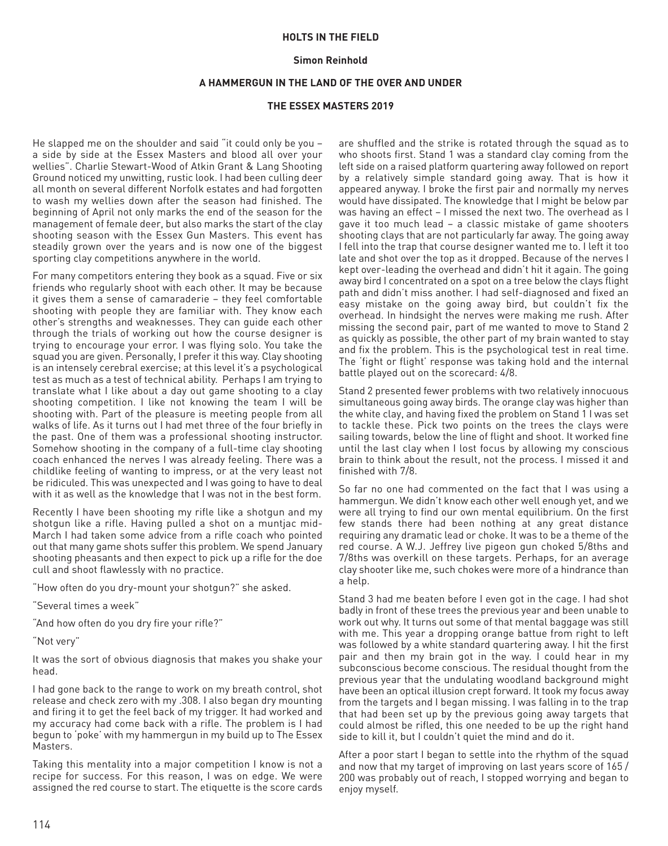## **HOLTS IN THE FIELD**

## **Simon Reinhold**

## **A HAMMERGUN IN THE LAND OF THE OVER AND UNDER**

## **THE ESSEX MASTERS 2019**

He slapped me on the shoulder and said "it could only be you – a side by side at the Essex Masters and blood all over your wellies". Charlie Stewart-Wood of Atkin Grant & Lang Shooting Ground noticed my unwitting, rustic look. I had been culling deer all month on several different Norfolk estates and had forgotten to wash my wellies down after the season had finished. The beginning of April not only marks the end of the season for the management of female deer, but also marks the start of the clay shooting season with the Essex Gun Masters. This event has steadily grown over the years and is now one of the biggest sporting clay competitions anywhere in the world.

For many competitors entering they book as a squad. Five or six friends who regularly shoot with each other. It may be because it gives them a sense of camaraderie – they feel comfortable shooting with people they are familiar with. They know each other's strengths and weaknesses. They can guide each other through the trials of working out how the course designer is trying to encourage your error. I was flying solo. You take the squad you are given. Personally, I prefer it this way. Clay shooting is an intensely cerebral exercise; at this level it's a psychological test as much as a test of technical ability. Perhaps I am trying to translate what I like about a day out game shooting to a clay shooting competition. I like not knowing the team I will be shooting with. Part of the pleasure is meeting people from all walks of life. As it turns out I had met three of the four briefly in the past. One of them was a professional shooting instructor. Somehow shooting in the company of a full-time clay shooting coach enhanced the nerves I was already feeling. There was a childlike feeling of wanting to impress, or at the very least not be ridiculed. This was unexpected and I was going to have to deal with it as well as the knowledge that I was not in the best form.

Recently I have been shooting my rifle like a shotgun and my shotgun like a rifle. Having pulled a shot on a muntjac mid-March I had taken some advice from a rifle coach who pointed out that many game shots suffer this problem. We spend January shooting pheasants and then expect to pick up a rifle for the doe cull and shoot flawlessly with no practice.

"How often do you dry-mount your shotgun?" she asked.

"Several times a week"

"And how often do you dry fire your rifle?"

"Not very"

It was the sort of obvious diagnosis that makes you shake your head.

I had gone back to the range to work on my breath control, shot release and check zero with my .308. I also began dry mounting and firing it to get the feel back of my trigger. It had worked and my accuracy had come back with a rifle. The problem is I had begun to 'poke' with my hammergun in my build up to The Essex Masters.

Taking this mentality into a major competition I know is not a recipe for success. For this reason, I was on edge. We were assigned the red course to start. The etiquette is the score cards

are shuffled and the strike is rotated through the squad as to who shoots first. Stand 1 was a standard clay coming from the left side on a raised platform quartering away followed on report by a relatively simple standard going away. That is how it appeared anyway. I broke the first pair and normally my nerves would have dissipated. The knowledge that I might be below par was having an effect – I missed the next two. The overhead as I gave it too much lead – a classic mistake of game shooters shooting clays that are not particularly far away. The going away I fell into the trap that course designer wanted me to. I left it too late and shot over the top as it dropped. Because of the nerves I kept over-leading the overhead and didn't hit it again. The going away bird I concentrated on a spot on a tree below the clays flight path and didn't miss another. I had self-diagnosed and fixed an easy mistake on the going away bird, but couldn't fix the overhead. In hindsight the nerves were making me rush. After missing the second pair, part of me wanted to move to Stand 2 as quickly as possible, the other part of my brain wanted to stay and fix the problem. This is the psychological test in real time. The 'fight or flight' response was taking hold and the internal battle played out on the scorecard: 4/8.

Stand 2 presented fewer problems with two relatively innocuous simultaneous going away birds. The orange clay was higher than the white clay, and having fixed the problem on Stand 1 I was set to tackle these. Pick two points on the trees the clays were sailing towards, below the line of flight and shoot. It worked fine until the last clay when I lost focus by allowing my conscious brain to think about the result, not the process. I missed it and finished with 7/8.

So far no one had commented on the fact that I was using a hammergun. We didn't know each other well enough yet, and we were all trying to find our own mental equilibrium. On the first few stands there had been nothing at any great distance requiring any dramatic lead or choke. It was to be a theme of the red course. A W.J. Jeffrey live pigeon gun choked 5/8ths and 7/8ths was overkill on these targets. Perhaps, for an average clay shooter like me, such chokes were more of a hindrance than a help.

Stand 3 had me beaten before I even got in the cage. I had shot badly in front of these trees the previous year and been unable to work out why. It turns out some of that mental baggage was still with me. This year a dropping orange battue from right to left was followed by a white standard quartering away. I hit the first pair and then my brain got in the way. I could hear in my subconscious become conscious. The residual thought from the previous year that the undulating woodland background might have been an optical illusion crept forward. It took my focus away from the targets and I began missing. I was falling in to the trap that had been set up by the previous going away targets that could almost be rifled, this one needed to be up the right hand side to kill it, but I couldn't quiet the mind and do it.

After a poor start I began to settle into the rhythm of the squad and now that my target of improving on last years score of 165 / 200 was probably out of reach, I stopped worrying and began to enjoy myself.